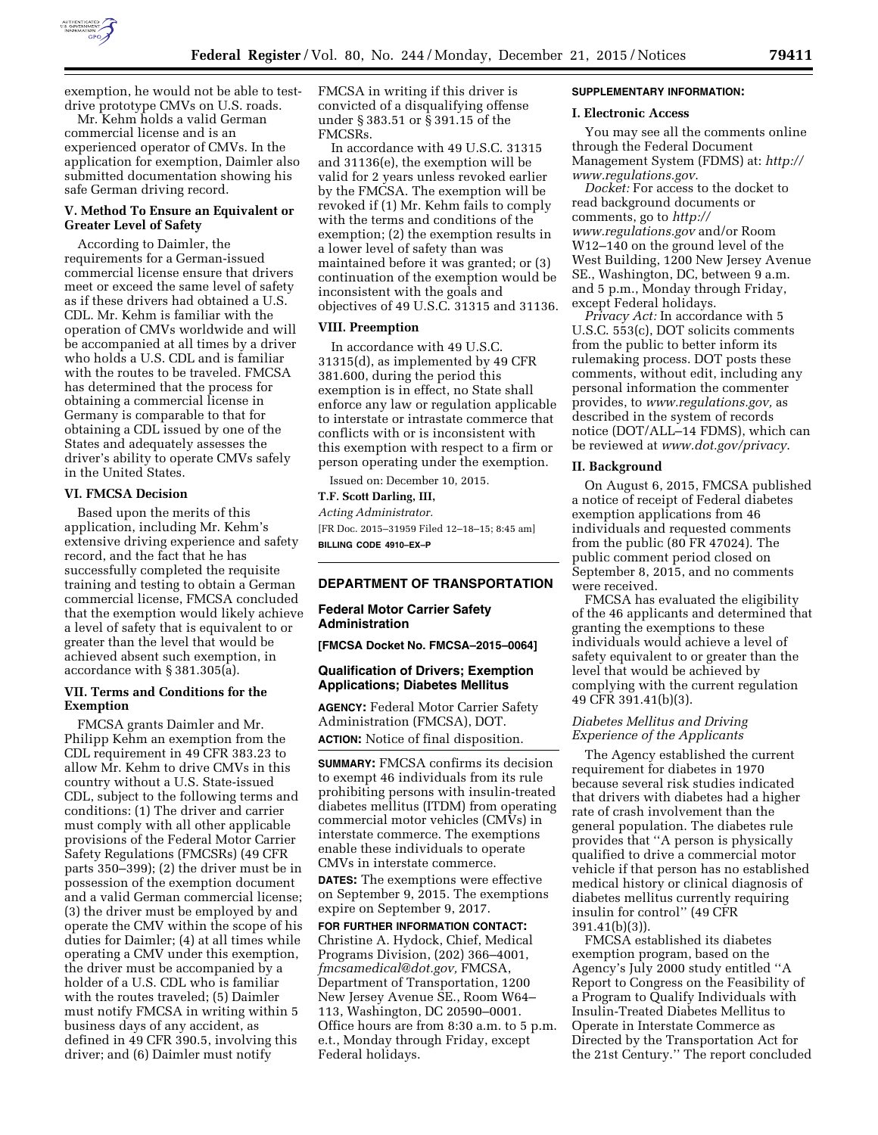

exemption, he would not be able to testdrive prototype CMVs on U.S. roads.

Mr. Kehm holds a valid German commercial license and is an experienced operator of CMVs. In the application for exemption, Daimler also submitted documentation showing his safe German driving record.

# **V. Method To Ensure an Equivalent or Greater Level of Safety**

According to Daimler, the requirements for a German-issued commercial license ensure that drivers meet or exceed the same level of safety as if these drivers had obtained a U.S. CDL. Mr. Kehm is familiar with the operation of CMVs worldwide and will be accompanied at all times by a driver who holds a U.S. CDL and is familiar with the routes to be traveled. FMCSA has determined that the process for obtaining a commercial license in Germany is comparable to that for obtaining a CDL issued by one of the States and adequately assesses the driver's ability to operate CMVs safely in the United States.

# **VI. FMCSA Decision**

Based upon the merits of this application, including Mr. Kehm's extensive driving experience and safety record, and the fact that he has successfully completed the requisite training and testing to obtain a German commercial license, FMCSA concluded that the exemption would likely achieve a level of safety that is equivalent to or greater than the level that would be achieved absent such exemption, in accordance with § 381.305(a).

### **VII. Terms and Conditions for the Exemption**

FMCSA grants Daimler and Mr. Philipp Kehm an exemption from the CDL requirement in 49 CFR 383.23 to allow Mr. Kehm to drive CMVs in this country without a U.S. State-issued CDL, subject to the following terms and conditions: (1) The driver and carrier must comply with all other applicable provisions of the Federal Motor Carrier Safety Regulations (FMCSRs) (49 CFR parts 350–399); (2) the driver must be in possession of the exemption document and a valid German commercial license; (3) the driver must be employed by and operate the CMV within the scope of his duties for Daimler; (4) at all times while operating a CMV under this exemption, the driver must be accompanied by a holder of a U.S. CDL who is familiar with the routes traveled; (5) Daimler must notify FMCSA in writing within 5 business days of any accident, as defined in 49 CFR 390.5, involving this driver; and (6) Daimler must notify

FMCSA in writing if this driver is convicted of a disqualifying offense under § 383.51 or § 391.15 of the FMCSRs.

In accordance with 49 U.S.C. 31315 and 31136(e), the exemption will be valid for 2 years unless revoked earlier by the FMCSA. The exemption will be revoked if (1) Mr. Kehm fails to comply with the terms and conditions of the exemption; (2) the exemption results in a lower level of safety than was maintained before it was granted; or (3) continuation of the exemption would be inconsistent with the goals and objectives of 49 U.S.C. 31315 and 31136.

### **VIII. Preemption**

In accordance with 49 U.S.C. 31315(d), as implemented by 49 CFR 381.600, during the period this exemption is in effect, no State shall enforce any law or regulation applicable to interstate or intrastate commerce that conflicts with or is inconsistent with this exemption with respect to a firm or person operating under the exemption.

Issued on: December 10, 2015.

# **T.F. Scott Darling, III,**

*Acting Administrator.*  [FR Doc. 2015–31959 Filed 12–18–15; 8:45 am] **BILLING CODE 4910–EX–P** 

# **DEPARTMENT OF TRANSPORTATION**

# **Federal Motor Carrier Safety Administration**

**[FMCSA Docket No. FMCSA–2015–0064]** 

### **Qualification of Drivers; Exemption Applications; Diabetes Mellitus**

**AGENCY:** Federal Motor Carrier Safety Administration (FMCSA), DOT. **ACTION:** Notice of final disposition.

**SUMMARY:** FMCSA confirms its decision to exempt 46 individuals from its rule prohibiting persons with insulin-treated diabetes mellitus (ITDM) from operating commercial motor vehicles (CMVs) in interstate commerce. The exemptions enable these individuals to operate CMVs in interstate commerce.

**DATES:** The exemptions were effective on September 9, 2015. The exemptions expire on September 9, 2017.

**FOR FURTHER INFORMATION CONTACT:**  Christine A. Hydock, Chief, Medical Programs Division, (202) 366–4001, *[fmcsamedical@dot.gov,](mailto:fmcsamedical@dot.gov)* FMCSA, Department of Transportation, 1200 New Jersey Avenue SE., Room W64– 113, Washington, DC 20590–0001. Office hours are from 8:30 a.m. to 5 p.m. e.t., Monday through Friday, except Federal holidays.

#### **SUPPLEMENTARY INFORMATION:**

#### **I. Electronic Access**

You may see all the comments online through the Federal Document Management System (FDMS) at: *[http://](http://www.regulations.gov) [www.regulations.gov](http://www.regulations.gov)*.

*Docket:* For access to the docket to read background documents or comments, go to *[http://](http://www.regulations.gov) [www.regulations.gov](http://www.regulations.gov)* and/or Room W12–140 on the ground level of the West Building, 1200 New Jersey Avenue SE., Washington, DC, between 9 a.m. and 5 p.m., Monday through Friday, except Federal holidays.

*Privacy Act:* In accordance with 5 U.S.C. 553(c), DOT solicits comments from the public to better inform its rulemaking process. DOT posts these comments, without edit, including any personal information the commenter provides, to *[www.regulations.gov,](http://www.regulations.gov)* as described in the system of records notice (DOT/ALL–14 FDMS), which can be reviewed at *[www.dot.gov/privacy](http://www.dot.gov/privacy)*.

#### **II. Background**

On August 6, 2015, FMCSA published a notice of receipt of Federal diabetes exemption applications from 46 individuals and requested comments from the public (80 FR 47024). The public comment period closed on September 8, 2015, and no comments were received.

FMCSA has evaluated the eligibility of the 46 applicants and determined that granting the exemptions to these individuals would achieve a level of safety equivalent to or greater than the level that would be achieved by complying with the current regulation 49 CFR 391.41(b)(3).

# *Diabetes Mellitus and Driving Experience of the Applicants*

The Agency established the current requirement for diabetes in 1970 because several risk studies indicated that drivers with diabetes had a higher rate of crash involvement than the general population. The diabetes rule provides that ''A person is physically qualified to drive a commercial motor vehicle if that person has no established medical history or clinical diagnosis of diabetes mellitus currently requiring insulin for control'' (49 CFR 391.41(b)(3)).

FMCSA established its diabetes exemption program, based on the Agency's July 2000 study entitled ''A Report to Congress on the Feasibility of a Program to Qualify Individuals with Insulin-Treated Diabetes Mellitus to Operate in Interstate Commerce as Directed by the Transportation Act for the 21st Century.'' The report concluded